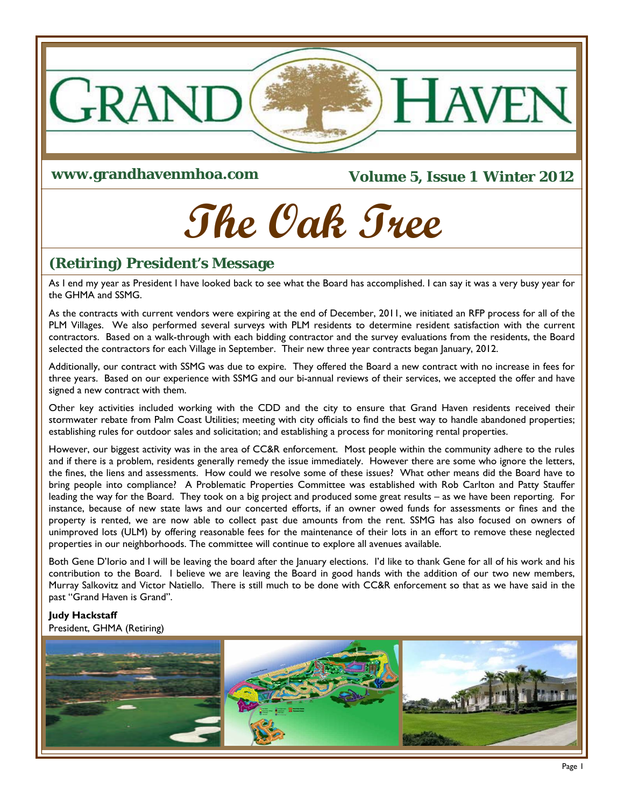

**www.grandhavenmhoa.com** 

**Volume 5, Issue 1 Winter 2012** 

# **The Oak Tree**

# **(Retiring) President's Message**

As I end my year as President I have looked back to see what the Board has accomplished. I can say it was a very busy year for the GHMA and SSMG.

As the contracts with current vendors were expiring at the end of December, 2011, we initiated an RFP process for all of the PLM Villages. We also performed several surveys with PLM residents to determine resident satisfaction with the current contractors. Based on a walk-through with each bidding contractor and the survey evaluations from the residents, the Board selected the contractors for each Village in September. Their new three year contracts began January, 2012.

Additionally, our contract with SSMG was due to expire. They offered the Board a new contract with no increase in fees for three years. Based on our experience with SSMG and our bi-annual reviews of their services, we accepted the offer and have signed a new contract with them.

Other key activities included working with the CDD and the city to ensure that Grand Haven residents received their stormwater rebate from Palm Coast Utilities; meeting with city officials to find the best way to handle abandoned properties; establishing rules for outdoor sales and solicitation; and establishing a process for monitoring rental properties.

However, our biggest activity was in the area of CC&R enforcement. Most people within the community adhere to the rules and if there is a problem, residents generally remedy the issue immediately. However there are some who ignore the letters, the fines, the liens and assessments. How could we resolve some of these issues? What other means did the Board have to bring people into compliance? A Problematic Properties Committee was established with Rob Carlton and Patty Stauffer leading the way for the Board. They took on a big project and produced some great results – as we have been reporting. For instance, because of new state laws and our concerted efforts, if an owner owed funds for assessments or fines and the property is rented, we are now able to collect past due amounts from the rent. SSMG has also focused on owners of unimproved lots (ULM) by offering reasonable fees for the maintenance of their lots in an effort to remove these neglected properties in our neighborhoods. The committee will continue to explore all avenues available.

Both Gene D'Iorio and I will be leaving the board after the January elections. I'd like to thank Gene for all of his work and his contribution to the Board. I believe we are leaving the Board in good hands with the addition of our two new members, Murray Salkovitz and Victor Natiello. There is still much to be done with CC&R enforcement so that as we have said in the past "Grand Haven is Grand".

#### **Judy Hackstaff**

President, GHMA (Retiring)

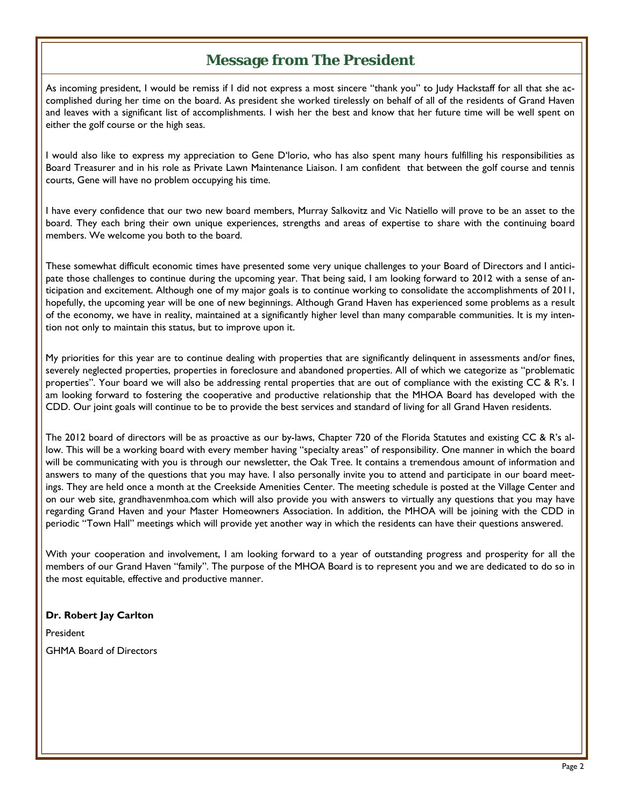# **Message from The President**

As incoming president, I would be remiss if I did not express a most sincere "thank you" to Judy Hackstaff for all that she accomplished during her time on the board. As president she worked tirelessly on behalf of all of the residents of Grand Haven and leaves with a significant list of accomplishments. I wish her the best and know that her future time will be well spent on either the golf course or the high seas.

I would also like to express my appreciation to Gene D'lorio, who has also spent many hours fulfilling his responsibilities as Board Treasurer and in his role as Private Lawn Maintenance Liaison. I am confident that between the golf course and tennis courts, Gene will have no problem occupying his time.

I have every confidence that our two new board members, Murray Salkovitz and Vic Natiello will prove to be an asset to the board. They each bring their own unique experiences, strengths and areas of expertise to share with the continuing board members. We welcome you both to the board.

These somewhat difficult economic times have presented some very unique challenges to your Board of Directors and I anticipate those challenges to continue during the upcoming year. That being said, I am looking forward to 2012 with a sense of anticipation and excitement. Although one of my major goals is to continue working to consolidate the accomplishments of 2011, hopefully, the upcoming year will be one of new beginnings. Although Grand Haven has experienced some problems as a result of the economy, we have in reality, maintained at a significantly higher level than many comparable communities. It is my intention not only to maintain this status, but to improve upon it.

My priorities for this year are to continue dealing with properties that are significantly delinquent in assessments and/or fines, severely neglected properties, properties in foreclosure and abandoned properties. All of which we categorize as "problematic properties". Your board we will also be addressing rental properties that are out of compliance with the existing CC & R's. I am looking forward to fostering the cooperative and productive relationship that the MHOA Board has developed with the CDD. Our joint goals will continue to be to provide the best services and standard of living for all Grand Haven residents.

The 2012 board of directors will be as proactive as our by-laws, Chapter 720 of the Florida Statutes and existing CC & R's allow. This will be a working board with every member having "specialty areas" of responsibility. One manner in which the board will be communicating with you is through our newsletter, the Oak Tree. It contains a tremendous amount of information and answers to many of the questions that you may have. I also personally invite you to attend and participate in our board meetings. They are held once a month at the Creekside Amenities Center. The meeting schedule is posted at the Village Center and on our web site, grandhavenmhoa.com which will also provide you with answers to virtually any questions that you may have regarding Grand Haven and your Master Homeowners Association. In addition, the MHOA will be joining with the CDD in periodic "Town Hall" meetings which will provide yet another way in which the residents can have their questions answered.

With your cooperation and involvement, I am looking forward to a year of outstanding progress and prosperity for all the members of our Grand Haven "family". The purpose of the MHOA Board is to represent you and we are dedicated to do so in the most equitable, effective and productive manner.

#### **Dr. Robert Jay Carlton**

President GHMA Board of Directors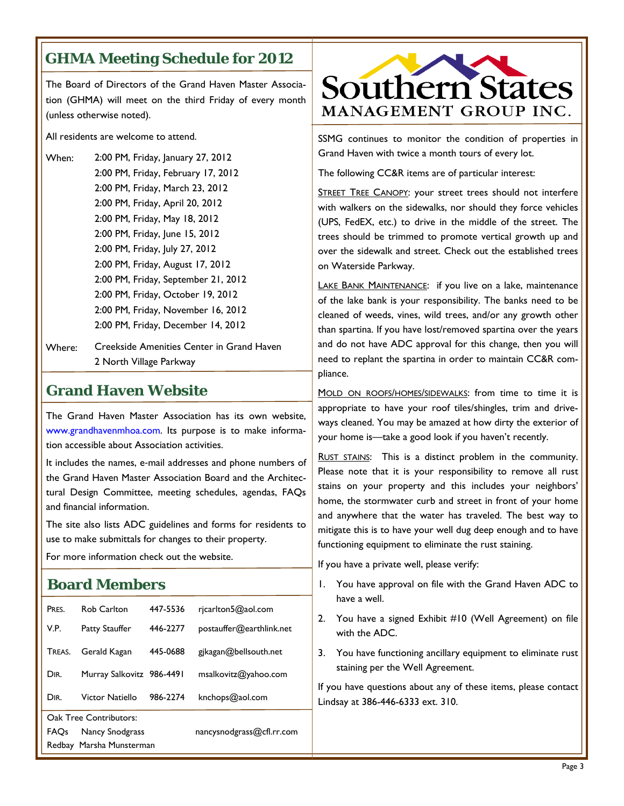# **GHMA Meeting Schedule for 2012**

The Board of Directors of the Grand Haven Master Association (GHMA) will meet on the third Friday of every month (unless otherwise noted).

All residents are welcome to attend.

- When: 2:00 PM, Friday, January 27, 2012 2:00 PM, Friday, February 17, 2012 2:00 PM, Friday, March 23, 2012 2:00 PM, Friday, April 20, 2012 2:00 PM, Friday, May 18, 2012 2:00 PM, Friday, June 15, 2012 2:00 PM, Friday, July 27, 2012 2:00 PM, Friday, August 17, 2012 2:00 PM, Friday, September 21, 2012 2:00 PM, Friday, October 19, 2012 2:00 PM, Friday, November 16, 2012 2:00 PM, Friday, December 14, 2012
- Where: Creekside Amenities Center in Grand Haven 2 North Village Parkway

### **Grand Haven Website**

The Grand Haven Master Association has its own website, www.grandhavenmhoa.com. Its purpose is to make information accessible about Association activities.

It includes the names, e‐mail addresses and phone numbers of the Grand Haven Master Association Board and the Architectural Design Committee, meeting schedules, agendas, FAQs and financial information.

The site also lists ADC guidelines and forms for residents to use to make submittals for changes to their property.

For more information check out the website.

#### **Board Members**

| ,,,,,,,,,,,,,,,,,,,,,,,  |                                             |                      |                                                |    |                                                                               |  |  |
|--------------------------|---------------------------------------------|----------------------|------------------------------------------------|----|-------------------------------------------------------------------------------|--|--|
| PRES.<br>V.P.            | <b>Rob Carlton</b><br><b>Patty Stauffer</b> | 447-5536<br>446-2277 | ricarlton5@aol.com<br>postauffer@earthlink.net | 2. | have a well.<br>You have a signed Exhibit #10 (We<br>with the ADC.            |  |  |
| Treas.                   | Gerald Kagan                                | 445-0688             | gikagan@bellsouth.net                          | 3. | You have functioning ancillary equipn                                         |  |  |
| DIR.                     | Murray Salkovitz 986-4491                   |                      | msalkovitz@yahoo.com                           |    | staining per the Well Agreement.                                              |  |  |
| DIR.                     | Victor Natiello                             | 986-2274             | $k$ nchops@aol.com                             |    | If you have questions about any of these<br>Lindsay at 386-446-6333 ext. 310. |  |  |
| Oak Tree Contributors:   |                                             |                      |                                                |    |                                                                               |  |  |
| FAQs                     | Nancy Snodgrass                             |                      | nancysnodgrass@cfl.rr.com                      |    |                                                                               |  |  |
| Redbay Marsha Munsterman |                                             |                      |                                                |    |                                                                               |  |  |



SSMG continues to monitor the condition of properties in Grand Haven with twice a month tours of every lot.

The following CC&R items are of particular interest:

STREET TREE CANOPY: your street trees should not interfere with walkers on the sidewalks, nor should they force vehicles (UPS, FedEX, etc.) to drive in the middle of the street. The trees should be trimmed to promote vertical growth up and over the sidewalk and street. Check out the established trees on Waterside Parkway.

LAKE BANK MAINTENANCE: if you live on a lake, maintenance of the lake bank is your responsibility. The banks need to be cleaned of weeds, vines, wild trees, and/or any growth other than spartina. If you have lost/removed spartina over the years and do not have ADC approval for this change, then you will need to replant the spartina in order to maintain CC&R compliance.

MOLD ON ROOFS/HOMES/SIDEWALKS: from time to time it is appropriate to have your roof tiles/shingles, trim and driveways cleaned. You may be amazed at how dirty the exterior of your home is—take a good look if you haven't recently.

RUST STAINS: This is a distinct problem in the community. Please note that it is your responsibility to remove all rust stains on your property and this includes your neighbors' home, the stormwater curb and street in front of your home and anywhere that the water has traveled. The best way to mitigate this is to have your well dug deep enough and to have functioning equipment to eliminate the rust staining.

If you have a private well, please verify:

- You have approval on file with the Grand Haven ADC to
- II Agreement) on file
- 1. You have functionen

items, please contact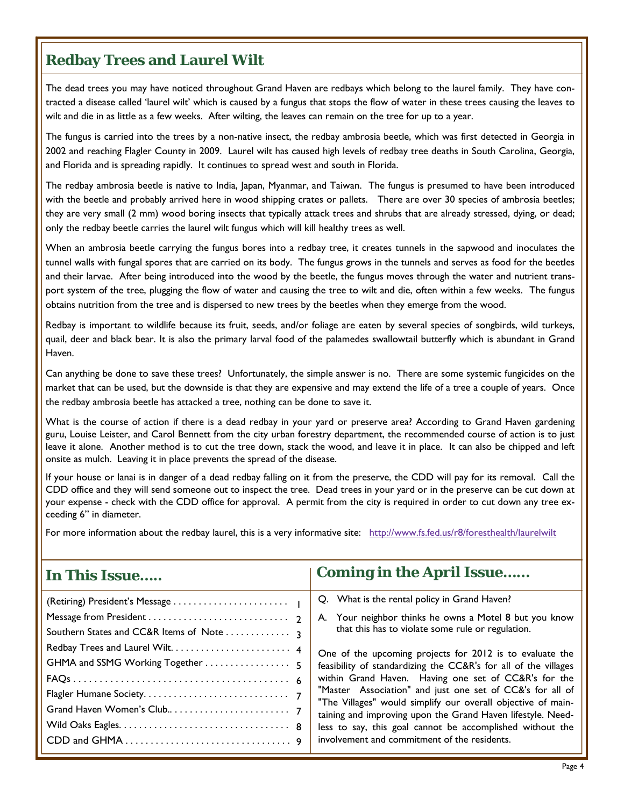# **Redbay Trees and Laurel Wilt**

The dead trees you may have noticed throughout Grand Haven are redbays which belong to the laurel family. They have contracted a disease called 'laurel wilt' which is caused by a fungus that stops the flow of water in these trees causing the leaves to wilt and die in as little as a few weeks. After wilting, the leaves can remain on the tree for up to a year.

The fungus is carried into the trees by a non-native insect, the redbay ambrosia beetle, which was first detected in Georgia in 2002 and reaching Flagler County in 2009. Laurel wilt has caused high levels of redbay tree deaths in South Carolina, Georgia, and Florida and is spreading rapidly. It continues to spread west and south in Florida.

The redbay ambrosia beetle is native to India, Japan, Myanmar, and Taiwan. The fungus is presumed to have been introduced with the beetle and probably arrived here in wood shipping crates or pallets. There are over 30 species of ambrosia beetles; they are very small (2 mm) wood boring insects that typically attack trees and shrubs that are already stressed, dying, or dead; only the redbay beetle carries the laurel wilt fungus which will kill healthy trees as well.

When an ambrosia beetle carrying the fungus bores into a redbay tree, it creates tunnels in the sapwood and inoculates the tunnel walls with fungal spores that are carried on its body. The fungus grows in the tunnels and serves as food for the beetles and their larvae. After being introduced into the wood by the beetle, the fungus moves through the water and nutrient transport system of the tree, plugging the flow of water and causing the tree to wilt and die, often within a few weeks. The fungus obtains nutrition from the tree and is dispersed to new trees by the beetles when they emerge from the wood.

Redbay is important to wildlife because its fruit, seeds, and/or foliage are eaten by several species of songbirds, wild turkeys, quail, deer and black bear. It is also the primary larval food of the palamedes swallowtail butterfly which is abundant in Grand Haven.

Can anything be done to save these trees? Unfortunately, the simple answer is no. There are some systemic fungicides on the market that can be used, but the downside is that they are expensive and may extend the life of a tree a couple of years. Once the redbay ambrosia beetle has attacked a tree, nothing can be done to save it.

What is the course of action if there is a dead redbay in your yard or preserve area? According to Grand Haven gardening guru, Louise Leister, and Carol Bennett from the city urban forestry department, the recommended course of action is to just leave it alone. Another method is to cut the tree down, stack the wood, and leave it in place. It can also be chipped and left onsite as mulch. Leaving it in place prevents the spread of the disease.

If your house or lanai is in danger of a dead redbay falling on it from the preserve, the CDD will pay for its removal. Call the CDD office and they will send someone out to inspect the tree. Dead trees in your yard or in the preserve can be cut down at your expense - check with the CDD office for approval. A permit from the city is required in order to cut down any tree exceeding 6" in diameter.

For more information about the redbay laurel, this is a very informative site: http://www.fs.fed.us/r8/foresthealth/laurelwilt

| In This Issue                     | <b>Coming in the April Issue</b>                                                                                                                                                                                                                                                                                                                                                                                                                                                                                                                                                                                                                            |
|-----------------------------------|-------------------------------------------------------------------------------------------------------------------------------------------------------------------------------------------------------------------------------------------------------------------------------------------------------------------------------------------------------------------------------------------------------------------------------------------------------------------------------------------------------------------------------------------------------------------------------------------------------------------------------------------------------------|
| GHMA and SSMG Working Together  5 | Q. What is the rental policy in Grand Haven?<br>A. Your neighbor thinks he owns a Motel 8 but you know<br>that this has to violate some rule or regulation.<br>One of the upcoming projects for 2012 is to evaluate the<br>feasibility of standardizing the CC&R's for all of the villages<br>within Grand Haven. Having one set of CC&R's for the<br>"Master Association" and just one set of CC&'s for all of<br>"The Villages" would simplify our overall objective of main-<br>taining and improving upon the Grand Haven lifestyle. Need-<br>less to say, this goal cannot be accomplished without the<br>involvement and commitment of the residents. |
|                                   |                                                                                                                                                                                                                                                                                                                                                                                                                                                                                                                                                                                                                                                             |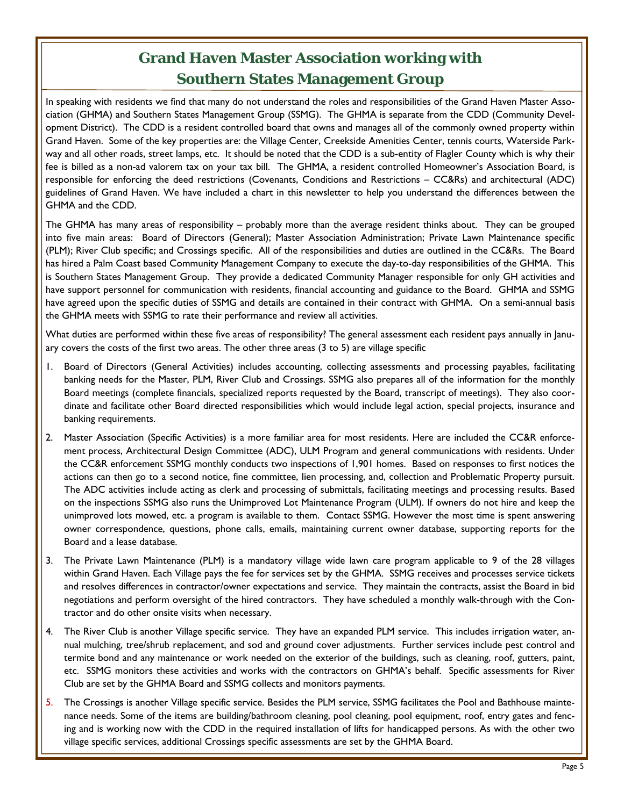# **Grand Haven Master Association working with Southern States Management Group**

In speaking with residents we find that many do not understand the roles and responsibilities of the Grand Haven Master Association (GHMA) and Southern States Management Group (SSMG). The GHMA is separate from the CDD (Community Development District). The CDD is a resident controlled board that owns and manages all of the commonly owned property within Grand Haven. Some of the key properties are: the Village Center, Creekside Amenities Center, tennis courts, Waterside Parkway and all other roads, street lamps, etc. It should be noted that the CDD is a sub-entity of Flagler County which is why their fee is billed as a non-ad valorem tax on your tax bill. The GHMA, a resident controlled Homeowner's Association Board, is responsible for enforcing the deed restrictions (Covenants, Conditions and Restrictions – CC&Rs) and architectural (ADC) guidelines of Grand Haven. We have included a chart in this newsletter to help you understand the differences between the GHMA and the CDD.

The GHMA has many areas of responsibility – probably more than the average resident thinks about. They can be grouped into five main areas: Board of Directors (General); Master Association Administration; Private Lawn Maintenance specific (PLM); River Club specific; and Crossings specific. All of the responsibilities and duties are outlined in the CC&Rs. The Board has hired a Palm Coast based Community Management Company to execute the day-to-day responsibilities of the GHMA. This is Southern States Management Group. They provide a dedicated Community Manager responsible for only GH activities and have support personnel for communication with residents, financial accounting and guidance to the Board. GHMA and SSMG have agreed upon the specific duties of SSMG and details are contained in their contract with GHMA. On a semi-annual basis the GHMA meets with SSMG to rate their performance and review all activities.

What duties are performed within these five areas of responsibility? The general assessment each resident pays annually in January covers the costs of the first two areas. The other three areas (3 to 5) are village specific

- 1. Board of Directors (General Activities) includes accounting, collecting assessments and processing payables, facilitating banking needs for the Master, PLM, River Club and Crossings. SSMG also prepares all of the information for the monthly Board meetings (complete financials, specialized reports requested by the Board, transcript of meetings). They also coordinate and facilitate other Board directed responsibilities which would include legal action, special projects, insurance and banking requirements.
- 2. Master Association (Specific Activities) is a more familiar area for most residents. Here are included the CC&R enforcement process, Architectural Design Committee (ADC), ULM Program and general communications with residents. Under the CC&R enforcement SSMG monthly conducts two inspections of 1,901 homes. Based on responses to first notices the actions can then go to a second notice, fine committee, lien processing, and, collection and Problematic Property pursuit. The ADC activities include acting as clerk and processing of submittals, facilitating meetings and processing results. Based on the inspections SSMG also runs the Unimproved Lot Maintenance Program (ULM). If owners do not hire and keep the unimproved lots mowed, etc. a program is available to them. Contact SSMG. However the most time is spent answering owner correspondence, questions, phone calls, emails, maintaining current owner database, supporting reports for the Board and a lease database.
- 3. The Private Lawn Maintenance (PLM) is a mandatory village wide lawn care program applicable to 9 of the 28 villages within Grand Haven. Each Village pays the fee for services set by the GHMA. SSMG receives and processes service tickets and resolves differences in contractor/owner expectations and service. They maintain the contracts, assist the Board in bid negotiations and perform oversight of the hired contractors. They have scheduled a monthly walk-through with the Contractor and do other onsite visits when necessary.
- 4. The River Club is another Village specific service. They have an expanded PLM service. This includes irrigation water, annual mulching, tree/shrub replacement, and sod and ground cover adjustments. Further services include pest control and termite bond and any maintenance or work needed on the exterior of the buildings, such as cleaning, roof, gutters, paint, etc. SSMG monitors these activities and works with the contractors on GHMA's behalf. Specific assessments for River Club are set by the GHMA Board and SSMG collects and monitors payments.
- 5. The Crossings is another Village specific service. Besides the PLM service, SSMG facilitates the Pool and Bathhouse maintenance needs. Some of the items are building/bathroom cleaning, pool cleaning, pool equipment, roof, entry gates and fencing and is working now with the CDD in the required installation of lifts for handicapped persons. As with the other two village specific services, additional Crossings specific assessments are set by the GHMA Board.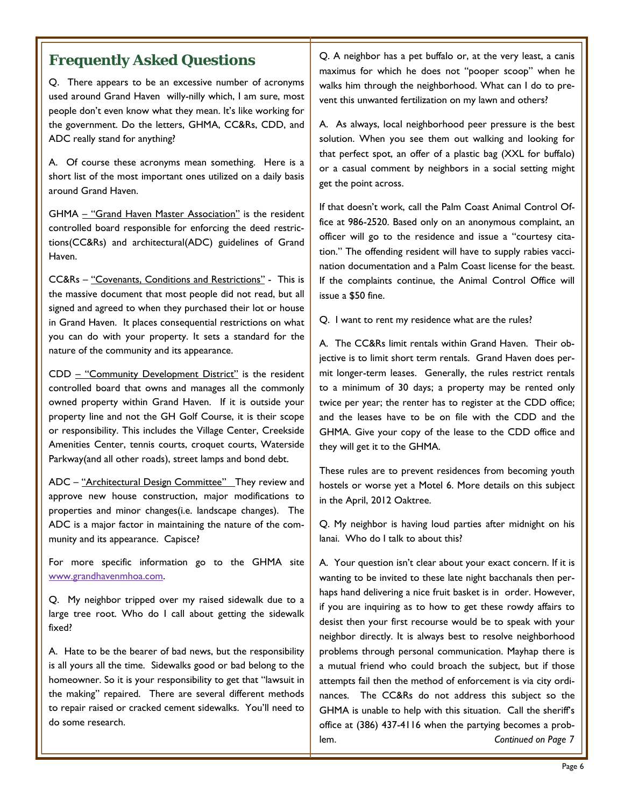Q. There appears to be an excessive number of acronyms used around Grand Haven willy-nilly which, I am sure, most people don't even know what they mean. It's like working for the government. Do the letters, GHMA, CC&Rs, CDD, and ADC really stand for anything?

A. Of course these acronyms mean something. Here is a short list of the most important ones utilized on a daily basis around Grand Haven.

GHMA – "Grand Haven Master Association" is the resident controlled board responsible for enforcing the deed restrictions(CC&Rs) and architectural(ADC) guidelines of Grand Haven.

CC&Rs – "Covenants, Conditions and Restrictions" - This is the massive document that most people did not read, but all signed and agreed to when they purchased their lot or house in Grand Haven. It places consequential restrictions on what you can do with your property. It sets a standard for the nature of the community and its appearance.

CDD – "Community Development District" is the resident controlled board that owns and manages all the commonly owned property within Grand Haven. If it is outside your property line and not the GH Golf Course, it is their scope or responsibility. This includes the Village Center, Creekside Amenities Center, tennis courts, croquet courts, Waterside Parkway(and all other roads), street lamps and bond debt.

ADC - "Architectural Design Committee" They review and approve new house construction, major modifications to properties and minor changes(i.e. landscape changes). The ADC is a major factor in maintaining the nature of the community and its appearance. Capisce?

For more specific information go to the GHMA site www.grandhavenmhoa.com.

Q. My neighbor tripped over my raised sidewalk due to a large tree root. Who do I call about getting the sidewalk fixed?

A. Hate to be the bearer of bad news, but the responsibility is all yours all the time. Sidewalks good or bad belong to the homeowner. So it is your responsibility to get that "lawsuit in the making" repaired. There are several different methods to repair raised or cracked cement sidewalks. You'll need to do some research.

**Frequently Asked Questions** Q. A neighbor has a pet buffalo or, at the very least, a canis maximus for which he does not "pooper scoop" when he walks him through the neighborhood. What can I do to prevent this unwanted fertilization on my lawn and others?

> A. As always, local neighborhood peer pressure is the best solution. When you see them out walking and looking for that perfect spot, an offer of a plastic bag (XXL for buffalo) or a casual comment by neighbors in a social setting might get the point across.

> If that doesn't work, call the Palm Coast Animal Control Office at 986-2520. Based only on an anonymous complaint, an officer will go to the residence and issue a "courtesy citation." The offending resident will have to supply rabies vaccination documentation and a Palm Coast license for the beast. If the complaints continue, the Animal Control Office will issue a \$50 fine.

Q. I want to rent my residence what are the rules?

A. The CC&Rs limit rentals within Grand Haven. Their objective is to limit short term rentals. Grand Haven does permit longer-term leases. Generally, the rules restrict rentals to a minimum of 30 days; a property may be rented only twice per year; the renter has to register at the CDD office; and the leases have to be on file with the CDD and the GHMA. Give your copy of the lease to the CDD office and they will get it to the GHMA.

These rules are to prevent residences from becoming youth hostels or worse yet a Motel 6. More details on this subject in the April, 2012 Oaktree.

Q. My neighbor is having loud parties after midnight on his lanai. Who do I talk to about this?

A. Your question isn't clear about your exact concern. If it is wanting to be invited to these late night bacchanals then perhaps hand delivering a nice fruit basket is in order. However, if you are inquiring as to how to get these rowdy affairs to desist then your first recourse would be to speak with your neighbor directly. It is always best to resolve neighborhood problems through personal communication. Mayhap there is a mutual friend who could broach the subject, but if those attempts fail then the method of enforcement is via city ordinances. The CC&Rs do not address this subject so the GHMA is unable to help with this situation. Call the sheriff's office at (386) 437-4116 when the partying becomes a problem. *Continued on Page 7*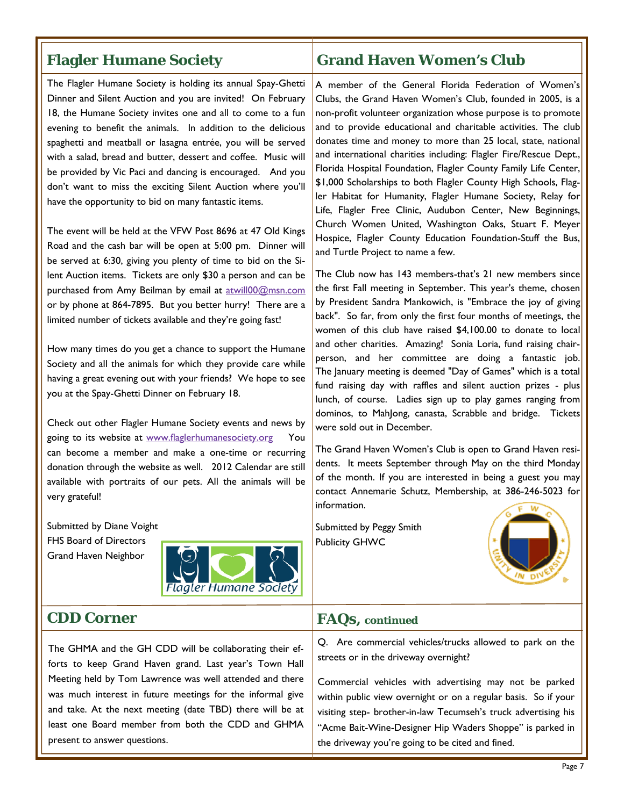#### **Flagler Humane Society**

The Flagler Humane Society is holding its annual Spay-Ghetti Dinner and Silent Auction and you are invited! On February 18, the Humane Society invites one and all to come to a fun evening to benefit the animals. In addition to the delicious spaghetti and meatball or lasagna entrée, you will be served with a salad, bread and butter, dessert and coffee. Music will be provided by Vic Paci and dancing is encouraged. And you don't want to miss the exciting Silent Auction where you'll have the opportunity to bid on many fantastic items.

The event will be held at the VFW Post 8696 at 47 Old Kings Road and the cash bar will be open at 5:00 pm. Dinner will be served at 6:30, giving you plenty of time to bid on the Silent Auction items. Tickets are only \$30 a person and can be purchased from Amy Beilman by email at atwill00@msn.com or by phone at 864-7895. But you better hurry! There are a limited number of tickets available and they're going fast!

How many times do you get a chance to support the Humane Society and all the animals for which they provide care while having a great evening out with your friends? We hope to see you at the Spay-Ghetti Dinner on February 18.

Check out other Flagler Humane Society events and news by going to its website at www.flaglerhumanesociety.org You can become a member and make a one-time or recurring donation through the website as well. 2012 Calendar are still available with portraits of our pets. All the animals will be very grateful!

Submitted by Diane Voight FHS Board of Directors Grand Haven Neighbor



#### **CDD Corner**

The GHMA and the GH CDD will be collaborating their efforts to keep Grand Haven grand. Last year's Town Hall Meeting held by Tom Lawrence was well attended and there was much interest in future meetings for the informal give and take. At the next meeting (date TBD) there will be at least one Board member from both the CDD and GHMA present to answer questions.

#### **Grand Haven Women's Club**

A member of the General Florida Federation of Women's Clubs, the Grand Haven Women's Club, founded in 2005, is a non-profit volunteer organization whose purpose is to promote and to provide educational and charitable activities. The club donates time and money to more than 25 local, state, national and international charities including: Flagler Fire/Rescue Dept., Florida Hospital Foundation, Flagler County Family Life Center, \$1,000 Scholarships to both Flagler County High Schools, Flagler Habitat for Humanity, Flagler Humane Society, Relay for Life, Flagler Free Clinic, Audubon Center, New Beginnings, Church Women United, Washington Oaks, Stuart F. Meyer Hospice, Flagler County Education Foundation-Stuff the Bus, and Turtle Project to name a few.

The Club now has 143 members-that's 21 new members since the first Fall meeting in September. This year's theme, chosen by President Sandra Mankowich, is "Embrace the joy of giving back". So far, from only the first four months of meetings, the women of this club have raised \$4,100.00 to donate to local and other charities. Amazing! Sonia Loria, fund raising chairperson, and her committee are doing a fantastic job. The January meeting is deemed "Day of Games" which is a total fund raising day with raffles and silent auction prizes - plus lunch, of course. Ladies sign up to play games ranging from dominos, to MahJong, canasta, Scrabble and bridge. Tickets were sold out in December.

The Grand Haven Women's Club is open to Grand Haven residents. It meets September through May on the third Monday of the month. If you are interested in being a guest you may contact Annemarie Schutz, Membership, at 386-246-5023 for information.

Submitted by Peggy Smith Publicity GHWC



#### **FAQs,** *continued*

Q. Are commercial vehicles/trucks allowed to park on the streets or in the driveway overnight?

Commercial vehicles with advertising may not be parked within public view overnight or on a regular basis. So if your visiting step- brother-in-law Tecumseh's truck advertising his "Acme Bait-Wine-Designer Hip Waders Shoppe" is parked in the driveway you're going to be cited and fined.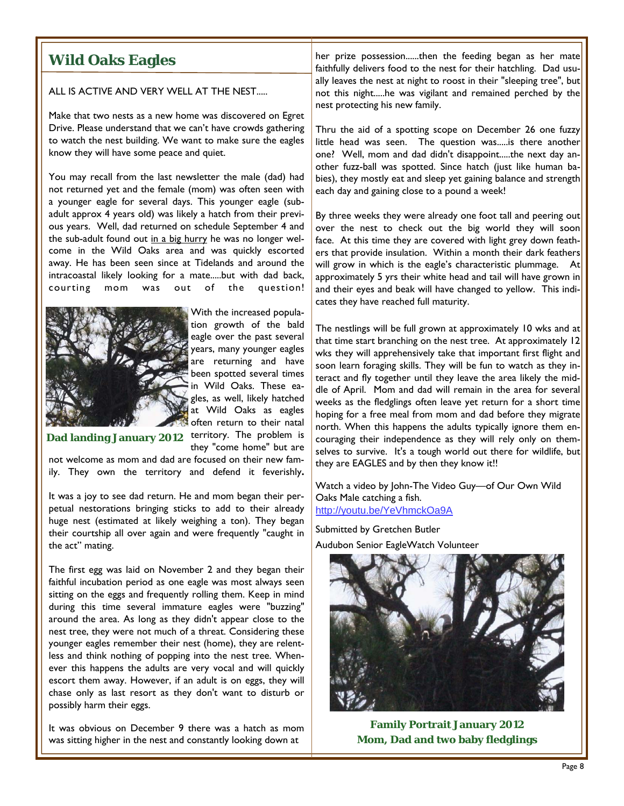ALL IS ACTIVE AND VERY WELL AT THE NEST.....

Make that two nests as a new home was discovered on Egret Drive. Please understand that we can't have crowds gathering to watch the nest building. We want to make sure the eagles know they will have some peace and quiet.

You may recall from the last newsletter the male (dad) had not returned yet and the female (mom) was often seen with a younger eagle for several days. This younger eagle (subadult approx 4 years old) was likely a hatch from their previous years. Well, dad returned on schedule September 4 and the sub-adult found out in a big hurry he was no longer welcome in the Wild Oaks area and was quickly escorted away. He has been seen since at Tidelands and around the intracoastal likely looking for a mate.....but with dad back, courting mom was out of the question!



With the increased population growth of the bald eagle over the past several years, many younger eagles are returning and have been spotted several times in Wild Oaks. These eagles, as well, likely hatched at Wild Oaks as eagles often return to their natal

they "come home" but are

**Dad landing January 2012** territory. The problem is

not welcome as mom and dad are focused on their new family. They own the territory and defend it feverishly**.** 

It was a joy to see dad return. He and mom began their perpetual nestorations bringing sticks to add to their already huge nest (estimated at likely weighing a ton). They began their courtship all over again and were frequently "caught in the act" mating.

The first egg was laid on November 2 and they began their faithful incubation period as one eagle was most always seen sitting on the eggs and frequently rolling them. Keep in mind during this time several immature eagles were "buzzing" around the area. As long as they didn't appear close to the nest tree, they were not much of a threat. Considering these younger eagles remember their nest (home), they are relentless and think nothing of popping into the nest tree. Whenever this happens the adults are very vocal and will quickly escort them away. However, if an adult is on eggs, they will chase only as last resort as they don't want to disturb or possibly harm their eggs.

It was obvious on December 9 there was a hatch as mom was sitting higher in the nest and constantly looking down at

**Wild Oaks Eagles her prize possession......then the feeding began as her mate** faithfully delivers food to the nest for their hatchling. Dad usually leaves the nest at night to roost in their "sleeping tree", but not this night.....he was vigilant and remained perched by the nest protecting his new family.

> Thru the aid of a spotting scope on December 26 one fuzzy little head was seen. The question was.....is there another one? Well, mom and dad didn't disappoint.....the next day another fuzz-ball was spotted. Since hatch (just like human babies), they mostly eat and sleep yet gaining balance and strength each day and gaining close to a pound a week!

> By three weeks they were already one foot tall and peering out over the nest to check out the big world they will soon face. At this time they are covered with light grey down feathers that provide insulation. Within a month their dark feathers will grow in which is the eagle's characteristic plummage. At approximately 5 yrs their white head and tail will have grown in and their eyes and beak will have changed to yellow. This indicates they have reached full maturity.

> The nestlings will be full grown at approximately 10 wks and at that time start branching on the nest tree. At approximately 12 wks they will apprehensively take that important first flight and soon learn foraging skills. They will be fun to watch as they interact and fly together until they leave the area likely the middle of April. Mom and dad will remain in the area for several weeks as the fledglings often leave yet return for a short time hoping for a free meal from mom and dad before they migrate north. When this happens the adults typically ignore them encouraging their independence as they will rely only on themselves to survive. It's a tough world out there for wildlife, but they are EAGLES and by then they know it!!

Watch a video by John-The Video Guy—of Our Own Wild Oaks Male catching a fish. http://youtu.be/YeVhmckOa9A

Submitted by Gretchen Butler Audubon Senior EagleWatch Volunteer



**Family Portrait January 2012 Mom, Dad and two baby fledglings**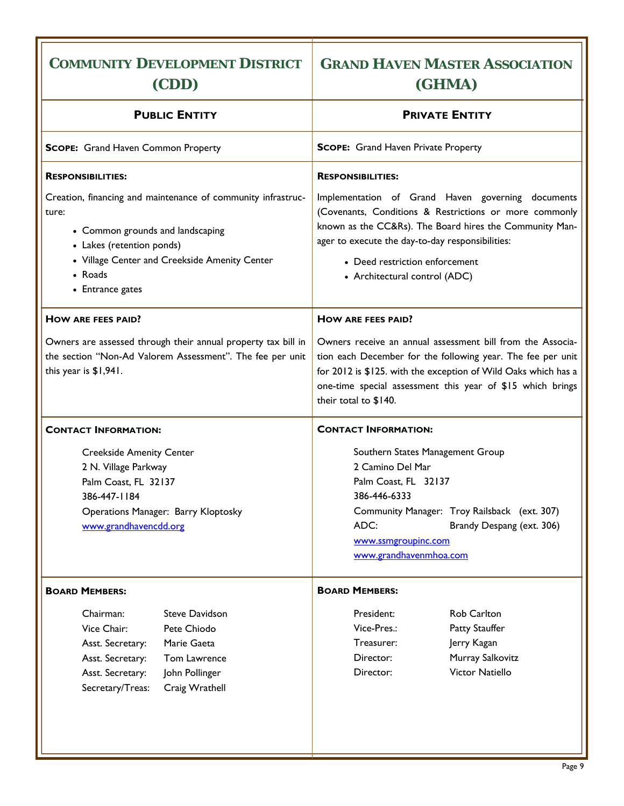#### **COMMUNITY DEVELOPMENT DISTRICT (CDD) GRAND HAVEN MASTER ASSOCIATION (GHMA) PUBLIC ENTITY SCOPE:** Grand Haven Common Property **RESPONSIBILITIES:**  Creation, financing and maintenance of community infrastructure: • Common grounds and landscaping • Lakes (retention ponds) • Village Center and Creekside Amenity Center • Roads • Entrance gates **HOW ARE FEES PAID?**  Owners are assessed through their annual property tax bill in the section "Non-Ad Valorem Assessment". The fee per unit this year is \$1,941. **CONTACT INFORMATION:**  Creekside Amenity Center 2 N. Village Parkway Palm Coast, FL 32137 386-447-1184 Operations Manager: Barry Kloptosky www.grandhavencdd.org **BOARD MEMBERS:**  Chairman: Steve Davidson Vice Chair: Pete Chiodo Asst. Secretary: Marie Gaeta Asst. Secretary: Tom Lawrence Asst. Secretary: John Pollinger Secretary/Treas: Craig Wrathell **PRIVATE ENTITY SCOPE:** Grand Haven Private Property **RESPONSIBILITIES:**  Implementation of Grand Haven governing documents (Covenants, Conditions & Restrictions or more commonly known as the CC&Rs). The Board hires the Community Manager to execute the day-to-day responsibilities: • Deed restriction enforcement • Architectural control (ADC) **HOW ARE FEES PAID?**  Owners receive an annual assessment bill from the Association each December for the following year. The fee per unit for 2012 is \$125. with the exception of Wild Oaks which has a one-time special assessment this year of \$15 which brings their total to \$140. **CONTACT INFORMATION:**  Southern States Management Group 2 Camino Del Mar Palm Coast, FL 32137 386-446-6333 Community Manager: Troy Railsback (ext. 307) ADC: Brandy Despang (ext. 306) www.ssmgroupinc.com www.grandhavenmhoa.com **BOARD MEMBERS:**  President: Rob Carlton Vice-Pres.: Patty Stauffer Treasurer: Jerry Kagan Director: Murray Salkovitz Director: Victor Natiello